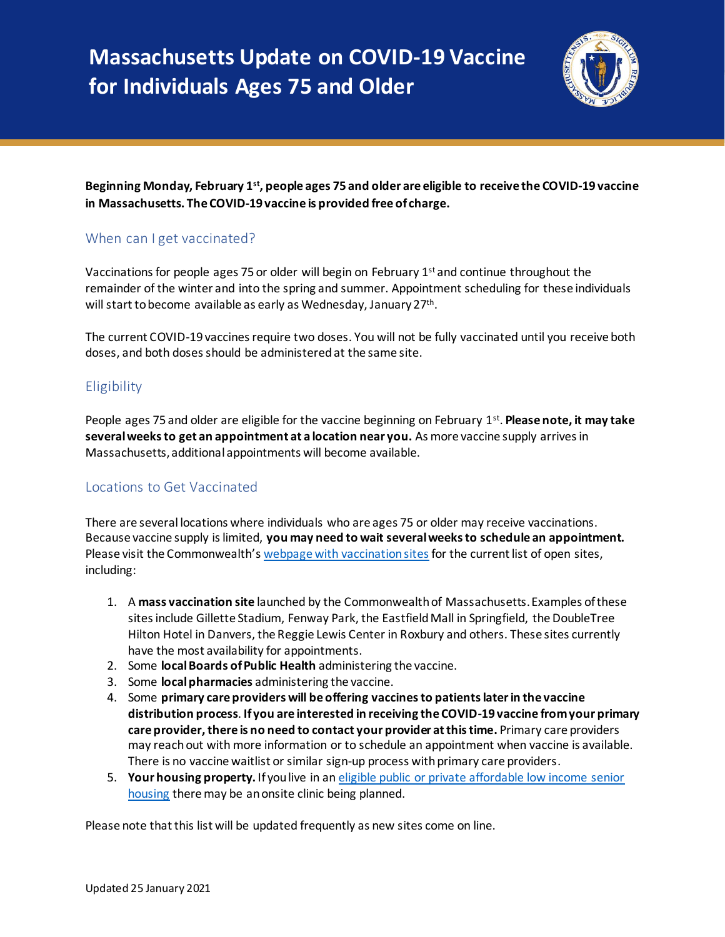

### **Beginning Monday, February 1st , people ages 75 and older are eligible to receive the COVID-19 vaccine in Massachusetts. The COVID-19 vaccine is provided free of charge.**

# When can I get vaccinated?

Vaccinations for people ages 75 or older will begin on February  $1<sup>st</sup>$  and continue throughout the remainder of the winter and into the spring and summer. Appointment scheduling for these individuals will start to become available as early as Wednesday, January 27<sup>th</sup>.

The current COVID-19 vaccines require two doses. You will not be fully vaccinated until you receive both doses, and both doses should be administered at the same site.

# **Eligibility**

People ages 75 and older are eligible for the vaccine beginning on February 1<sup>st</sup>. **Please note, it may take several weeks to get an appointment at a location near you.** As more vaccine supply arrives in Massachusetts, additional appointments will become available.

# Locations to Get Vaccinated

There are several locations where individuals who are ages 75 or older may receive vaccinations. Because vaccine supply is limited, **you may need to wait several weeks to schedule an appointment.** Please visit the Commonwealth's webpage with [vaccination sites](https://www.mass.gov/info-details/covid-19-vaccine-locations-for-individuals-in-phase-1) for the current list of open sites, including:

- 1. A **mass vaccination site** launched by the Commonwealth of Massachusetts. Examples of these sites include Gillette Stadium, Fenway Park, the Eastfield Mall in Springfield, the DoubleTree Hilton Hotel in Danvers, the Reggie Lewis Center in Roxbury and others. These sites currently have the most availability for appointments.
- 2. Some **localBoards of Public Health** administering the vaccine.
- 3. Some **local pharmacies** administering the vaccine.
- 4. Some **primary care providers will be offering vaccines to patients later in the vaccine distribution process**. **If you are interested in receiving the COVID-19 vaccine from your primary care provider, there is no need to contact your provider at this time.** Primary care providers may reach out with more information or to schedule an appointment when vaccine is available. There is no vaccine waitlist or similar sign-up process with primary care providers.
- 5. **Your housing property.** If you live in an [eligible public or private affordable low income senior](https://www.mass.gov/info-details/covid-19-vaccinations-for-senior-housing-settings)  [housing](https://www.mass.gov/info-details/covid-19-vaccinations-for-senior-housing-settings) there may be an onsite clinic being planned.

Please note that this list will be updated frequently as new sites come on line.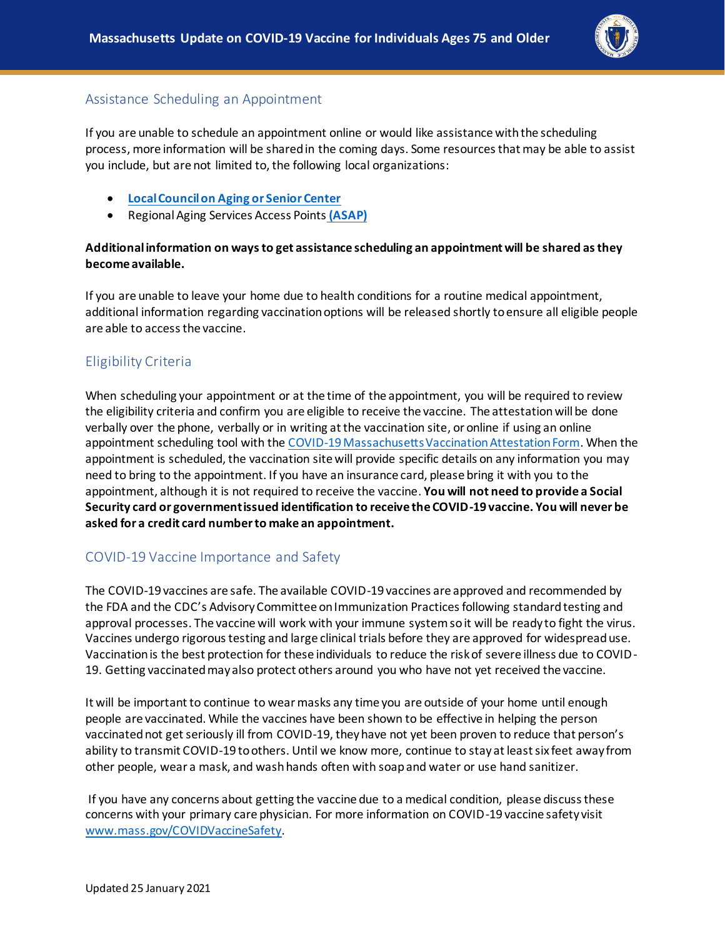

### Assistance Scheduling an Appointment

If you are unable to schedule an appointment online or would like assistance with the scheduling process, more information will be shared in the coming days. Some resources that may be able to assist you include, but are not limited to, the following local organizations:

- **[Local Council on Aging or Senior Center](https://mcoaonline.com/what-is-a-coa/coa-directory/)**
- Regional Aging Services Access Points **[\(ASAP\)](https://www.mass.gov/location-details/aging-services-access-points-asaps-in-massachusetts)**

#### **Additional information on ways to get assistance scheduling an appointment will be shared as they become available.**

If you are unable to leave your home due to health conditions for a routine medical appointment, additional information regarding vaccination options will be released shortly to ensure all eligible people are able to access the vaccine.

### Eligibility Criteria

When scheduling your appointment or at the time of the appointment, you will be required to review the eligibility criteria and confirm you are eligible to receive the vaccine. The attestationwill be done verbally over the phone, verbally or in writing at the vaccination site, or online if using an online appointment scheduling tool with th[e COVID-19 Massachusetts Vaccination Attestation Form.](https://www.mass.gov/forms/covid-19-massachusetts-vaccination-attestation-form) When the appointment is scheduled, the vaccination site will provide specific details on any information you may need to bring to the appointment. If you have an insurance card, please bring it with you to the appointment, although it is not required to receive the vaccine. **You will not need to provide a Social Security card or government issued identification to receive the COVID-19 vaccine. You will never be asked for a credit card number to make an appointment.**

### COVID-19 Vaccine Importance and Safety

The COVID-19 vaccines are safe. The available COVID-19 vaccines are approved and recommended by the FDA and the CDC's Advisory Committee on Immunization Practices following standard testing and approval processes. The vaccine will work with your immune system so it will be ready to fight the virus. Vaccines undergo rigorous testing and large clinical trials before they are approved for widespread use. Vaccination is the best protection for these individuals to reduce the risk of severe illness due to COVID-19. Getting vaccinated may also protect others around you who have not yet received the vaccine.

It will be important to continue to wear masks any time you are outside of your home until enough people are vaccinated. While the vaccines have been shown to be effective in helping the person vaccinated not get seriously ill from COVID-19, they have not yet been proven to reduce that person's ability to transmit COVID-19 to others. Until we know more, continue to stay at least six feet away from other people, wear a mask, and wash hands often with soap and water or use hand sanitizer.

If you have any concerns about getting the vaccine due to a medical condition, please discuss these concerns with your primary care physician. For more information on COVID-19 vaccine safety visit [www.mass.gov/COVIDVaccineSafety.](http://www.mass.gov/COVIDVaccineSafety)